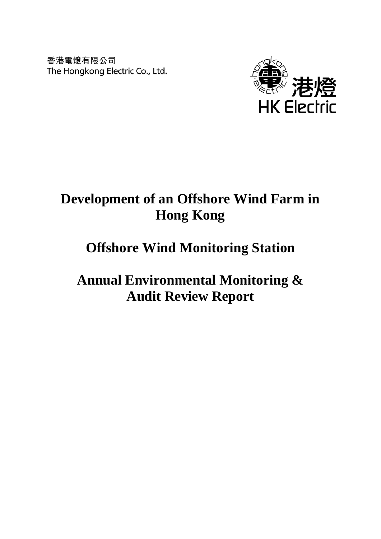香港電燈有限公司 The Hongkong Electric Co., Ltd.



# **Development of an Offshore Wind Farm in Hong Kong**

# **Offshore Wind Monitoring Station**

**Annual Environmental Monitoring & Audit Review Report**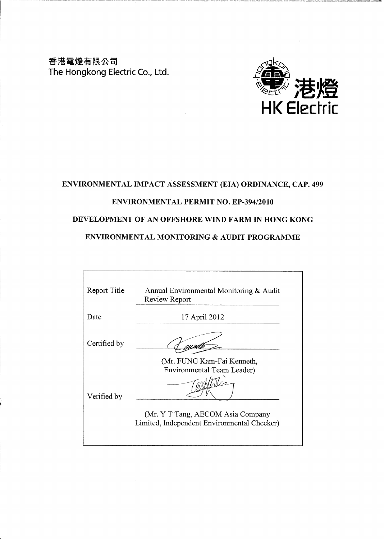香港電燈有限公司 The Hongkong Electric Co., Ltd.



## ENVIRONMENTAL IMPACT ASSESSMENT (EIA) ORDINANCE, CAP. 499

## **ENVIRONMENTAL PERMIT NO. EP-394/2010**

## DEVELOPMENT OF AN OFFSHORE WIND FARM IN HONG KONG

## **ENVIRONMENTAL MONITORING & AUDIT PROGRAMME**

| Report Title | Annual Environmental Monitoring $\&$ Audit<br>Review Report                                                                                  |
|--------------|----------------------------------------------------------------------------------------------------------------------------------------------|
| Date         | 17 April 2012                                                                                                                                |
| Certified by |                                                                                                                                              |
| Verified by  | (Mr. FUNG Kam-Fai Kenneth,<br>Environmental Team Leader)<br>(Mr. Y T Tang, AECOM Asia Company<br>Limited, Independent Environmental Checker) |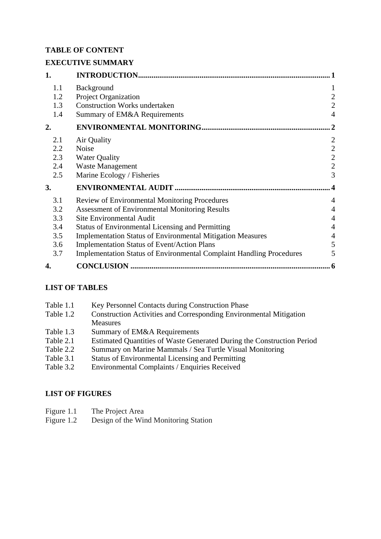# **TABLE OF CONTENT**

# **EXECUTIVE SUMMARY**

| 1.  |                                                                             |                |
|-----|-----------------------------------------------------------------------------|----------------|
| 1.1 | Background                                                                  |                |
| 1.2 | <b>Project Organization</b>                                                 | 2              |
| 1.3 | <b>Construction Works undertaken</b>                                        | $\overline{2}$ |
| 1.4 | Summary of EM&A Requirements                                                | $\overline{4}$ |
| 2.  |                                                                             | $\mathbf{2}$   |
| 2.1 | Air Quality                                                                 | $\overline{2}$ |
| 2.2 | <b>Noise</b>                                                                | $\overline{2}$ |
| 2.3 | <b>Water Quality</b>                                                        | $\mathbf{2}$   |
| 2.4 | Waste Management                                                            | $\mathbf{2}$   |
| 2.5 | Marine Ecology / Fisheries                                                  | 3              |
| 3.  |                                                                             |                |
| 3.1 | <b>Review of Environmental Monitoring Procedures</b>                        | $\overline{4}$ |
| 3.2 | <b>Assessment of Environmental Monitoring Results</b>                       | $\overline{4}$ |
| 3.3 | <b>Site Environmental Audit</b>                                             | $\overline{4}$ |
| 3.4 | <b>Status of Environmental Licensing and Permitting</b>                     | 4              |
| 3.5 | <b>Implementation Status of Environmental Mitigation Measures</b>           | 4              |
| 3.6 | <b>Implementation Status of Event/Action Plans</b>                          | 5              |
| 3.7 | <b>Implementation Status of Environmental Complaint Handling Procedures</b> | 5              |
| 4.  |                                                                             |                |

# **LIST OF TABLES**

| Table 1.1 | Key Personnel Contacts during Construction Phase                          |
|-----------|---------------------------------------------------------------------------|
| Table 1.2 | <b>Construction Activities and Corresponding Environmental Mitigation</b> |
|           | <b>Measures</b>                                                           |
| Table 1.3 | Summary of EM&A Requirements                                              |
| Table 2.1 | Estimated Quantities of Waste Generated During the Construction Period    |
| Table 2.2 | Summary on Marine Mammals / Sea Turtle Visual Monitoring                  |
| Table 3.1 | <b>Status of Environmental Licensing and Permitting</b>                   |
| Table 3.2 | <b>Environmental Complaints / Enquiries Received</b>                      |
|           |                                                                           |

# **LIST OF FIGURES**

Figure 1.2 Design of the Wind Monitoring Station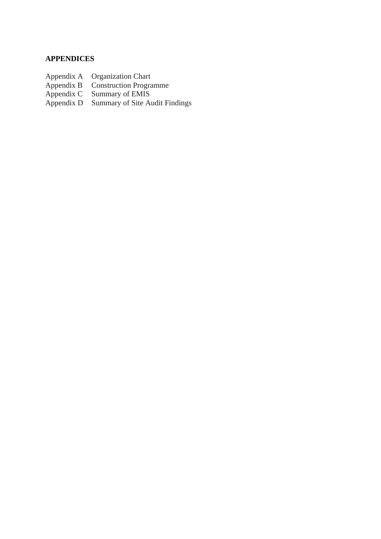## **APPENDICES**

- Appendix A Organization Chart
- Appendix B Construction Programme
- Appendix C Summary of EMIS
- Appendix A Organization Chart<br>
Appendix B Construction Programme<br>
Appendix C Summary of EMIS<br>
Appendix D Summary of Site Audit Findings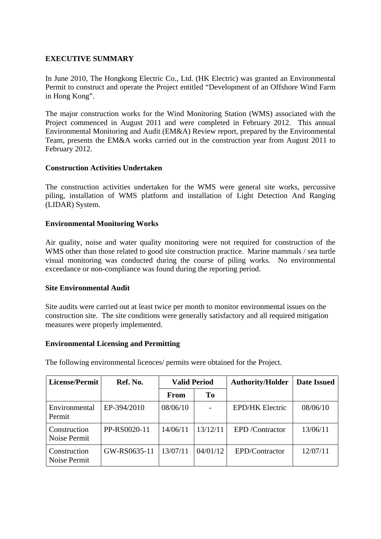## **EXECUTIVE SUMMARY**

In June 2010, The Hongkong Electric Co., Ltd. (HK Electric) was granted an Environmental Permit to construct and operate the Project entitled "Development of an Offshore Wind Farm in Hong Kong".

The major construction works for the Wind Monitoring Station (WMS) associated with the Project commenced in August 2011 and were completed in February 2012. This annual Environmental Monitoring and Audit (EM&A) Review report, prepared by the Environmental Team, presents the EM&A works carried out in the construction year from August 2011 to February 2012.

#### **Construction Activities Undertaken**

The construction activities undertaken for the WMS were general site works, percussive piling, installation of WMS platform and installation of Light Detection And Ranging (LIDAR) System.

#### **Environmental Monitoring Works**

Air quality, noise and water quality monitoring were not required for construction of the WMS other than those related to good site construction practice. Marine mammals / sea turtle visual monitoring was conducted during the course of piling works. No environmental exceedance or non-compliance was found during the reporting period.

#### **Site Environmental Audit**

Site audits were carried out at least twice per month to monitor environmental issues on the construction site. The site conditions were generally satisfactory and all required mitigation measures were properly implemented.

#### **Environmental Licensing and Permitting**

| The following environmental licences/ permits were obtained for the Project. |  |  |
|------------------------------------------------------------------------------|--|--|
|                                                                              |  |  |

| License/Permit               | Ref. No.     | <b>Valid Period</b> |          | <b>Authority/Holder</b> |          |
|------------------------------|--------------|---------------------|----------|-------------------------|----------|
|                              |              | From                | To       |                         |          |
| Environmental<br>Permit      | EP-394/2010  | 08/06/10            |          | <b>EPD/HK Electric</b>  | 08/06/10 |
| Construction<br>Noise Permit | PP-RS0020-11 | 14/06/11            | 13/12/11 | <b>EPD</b> /Contractor  | 13/06/11 |
| Construction<br>Noise Permit | GW-RS0635-11 | 13/07/11            | 04/01/12 | EPD/Contractor          | 12/07/11 |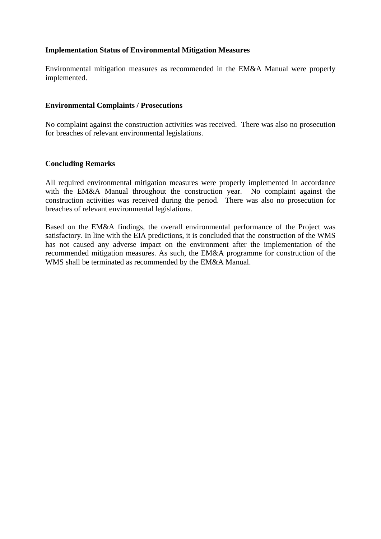## **Implementation Status of Environmental Mitigation Measures**

Environmental mitigation measures as recommended in the EM&A Manual were properly implemented.

#### **Environmental Complaints / Prosecutions**

No complaint against the construction activities was received. There was also no prosecution for breaches of relevant environmental legislations.

#### **Concluding Remarks**

All required environmental mitigation measures were properly implemented in accordance with the EM&A Manual throughout the construction year. No complaint against the construction activities was received during the period. There was also no prosecution for breaches of relevant environmental legislations.

Based on the EM&A findings, the overall environmental performance of the Project was satisfactory. In line with the EIA predictions, it is concluded that the construction of the WMS has not caused any adverse impact on the environment after the implementation of the recommended mitigation measures. As such, the EM&A programme for construction of the WMS shall be terminated as recommended by the EM&A Manual.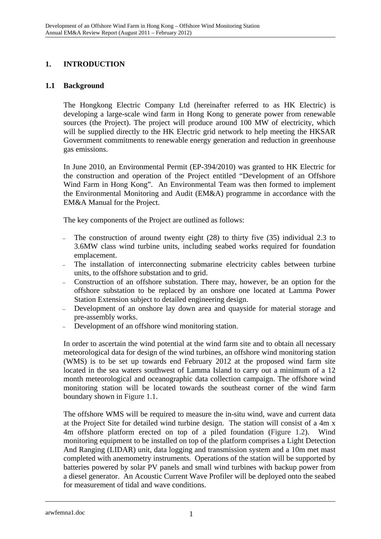## **1. INTRODUCTION**

## **1.1 Background**

The Hongkong Electric Company Ltd (hereinafter referred to as HK Electric) is developing a large-scale wind farm in Hong Kong to generate power from renewable sources (the Project). The project will produce around 100 MW of electricity, which will be supplied directly to the HK Electric grid network to help meeting the HKSAR Government commitments to renewable energy generation and reduction in greenhouse gas emissions.

In June 2010, an Environmental Permit (EP-394/2010) was granted to HK Electric for the construction and operation of the Project entitled "Development of an Offshore Wind Farm in Hong Kong". An Environmental Team was then formed to implement the Environmental Monitoring and Audit (EM&A) programme in accordance with the EM&A Manual for the Project.

The key components of the Project are outlined as follows:

- The construction of around twenty eight  $(28)$  to thirty five  $(35)$  individual 2.3 to 3.6MW class wind turbine units, including seabed works required for foundation emplacement.
- The installation of interconnecting submarine electricity cables between turbine units, to the offshore substation and to grid.
- <sup>−</sup> Construction of an offshore substation. There may, however, be an option for the offshore substation to be replaced by an onshore one located at Lamma Power Station Extension subject to detailed engineering design.
- Development of an onshore lay down area and quayside for material storage and pre-assembly works.
- Development of an offshore wind monitoring station.

In order to ascertain the wind potential at the wind farm site and to obtain all necessary meteorological data for design of the wind turbines, an offshore wind monitoring station (WMS) is to be set up towards end February 2012 at the proposed wind farm site located in the sea waters southwest of Lamma Island to carry out a minimum of a 12 month meteorological and oceanographic data collection campaign. The offshore wind monitoring station will be located towards the southeast corner of the wind farm boundary shown in Figure 1.1.

The offshore WMS will be required to measure the in-situ wind, wave and current data at the Project Site for detailed wind turbine design. The station will consist of a 4m x 4m offshore platform erected on top of a piled foundation (Figure 1.2). Wind monitoring equipment to be installed on top of the platform comprises a Light Detection And Ranging (LIDAR) unit, data logging and transmission system and a 10m met mast completed with anemometry instruments. Operations of the station will be supported by batteries powered by solar PV panels and small wind turbines with backup power from a diesel generator. An Acoustic Current Wave Profiler will be deployed onto the seabed for measurement of tidal and wave conditions.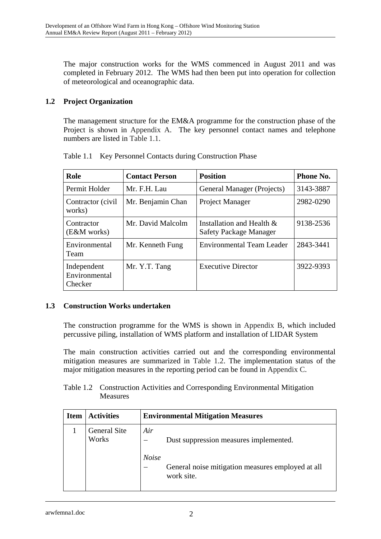The major construction works for the WMS commenced in August 2011 and was completed in February 2012. The WMS had then been put into operation for collection of meteorological and oceanographic data.

# **1.2 Project Organization**

The management structure for the EM&A programme for the construction phase of the Project is shown in Appendix A. The key personnel contact names and telephone numbers are listed in Table 1.1.

| Role                                             | <b>Contact Person</b> | <b>Position</b>                                            | <b>Phone No.</b> |
|--------------------------------------------------|-----------------------|------------------------------------------------------------|------------------|
| Permit Holder                                    | Mr. F.H. Lau          | General Manager (Projects)                                 | 3143-3887        |
| Mr. Benjamin Chan<br>Contractor (civil<br>works) |                       | Project Manager                                            | 2982-0290        |
| Contractor<br>(E&M works)                        | Mr. David Malcolm     | Installation and Health &<br><b>Safety Package Manager</b> | 9138-2536        |
| Environmental<br>Team                            | Mr. Kenneth Fung      | <b>Environmental Team Leader</b>                           | 2843-3441        |
| Independent<br>Environmental<br>Checker          | Mr. Y.T. Tang         | <b>Executive Director</b>                                  | 3922-9393        |

Table 1.1 Key Personnel Contacts during Construction Phase

## **1.3 Construction Works undertaken**

The construction programme for the WMS is shown in Appendix B, which included percussive piling, installation of WMS platform and installation of LIDAR System

The main construction activities carried out and the corresponding environmental mitigation measures are summarized in Table 1.2. The implementation status of the major mitigation measures in the reporting period can be found in Appendix C.

| Table 1.2 Construction Activities and Corresponding Environmental Mitigation |
|------------------------------------------------------------------------------|
| <b>Measures</b>                                                              |

| <b>Item</b> | <b>Activities</b>            | <b>Environmental Mitigation Measures</b>                        |  |  |  |  |
|-------------|------------------------------|-----------------------------------------------------------------|--|--|--|--|
|             | <b>General Site</b><br>Works | Air<br>Dust suppression measures implemented.<br><b>Noise</b>   |  |  |  |  |
|             |                              | General noise mitigation measures employed at all<br>work site. |  |  |  |  |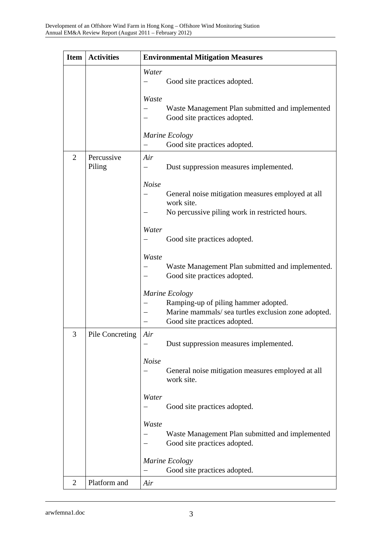| <b>Item</b>    | <b>Activities</b>    | <b>Environmental Mitigation Measures</b>                                                                                                      |  |  |  |
|----------------|----------------------|-----------------------------------------------------------------------------------------------------------------------------------------------|--|--|--|
|                |                      | Water<br>Good site practices adopted.                                                                                                         |  |  |  |
|                |                      | Waste<br>Waste Management Plan submitted and implemented<br>Good site practices adopted.                                                      |  |  |  |
|                |                      | Marine Ecology<br>Good site practices adopted.                                                                                                |  |  |  |
| $\overline{2}$ | Percussive<br>Piling | Air<br>Dust suppression measures implemented.                                                                                                 |  |  |  |
|                |                      | <b>Noise</b><br>General noise mitigation measures employed at all<br>work site.<br>No percussive piling work in restricted hours.             |  |  |  |
|                |                      | Water<br>Good site practices adopted.                                                                                                         |  |  |  |
|                |                      | Waste<br>Waste Management Plan submitted and implemented.<br>Good site practices adopted.                                                     |  |  |  |
|                |                      | Marine Ecology<br>Ramping-up of piling hammer adopted.<br>Marine mammals/ sea turtles exclusion zone adopted.<br>Good site practices adopted. |  |  |  |
| 3              | Pile Concreting      | Air<br>Dust suppression measures implemented.                                                                                                 |  |  |  |
|                |                      | <b>Noise</b><br>General noise mitigation measures employed at all<br>work site.                                                               |  |  |  |
|                |                      | Water<br>Good site practices adopted.                                                                                                         |  |  |  |
|                |                      | Waste<br>Waste Management Plan submitted and implemented<br>Good site practices adopted.                                                      |  |  |  |
|                |                      | Marine Ecology<br>Good site practices adopted.                                                                                                |  |  |  |
| $\overline{2}$ | Platform and         | Air                                                                                                                                           |  |  |  |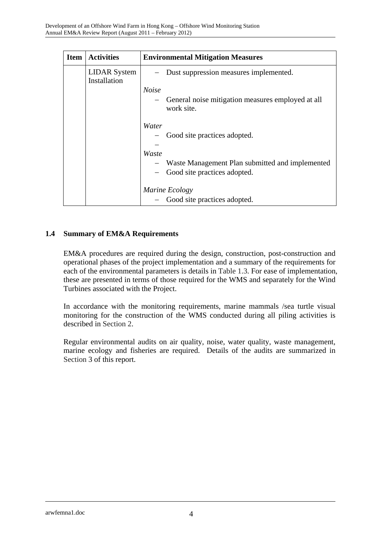| <b>Item</b> | <b>Activities</b>                   | <b>Environmental Mitigation Measures</b>                                             |  |  |  |  |
|-------------|-------------------------------------|--------------------------------------------------------------------------------------|--|--|--|--|
|             | <b>LIDAR</b> System<br>Installation | Dust suppression measures implemented.                                               |  |  |  |  |
|             |                                     | <b>Noise</b>                                                                         |  |  |  |  |
|             |                                     | General noise mitigation measures employed at all<br>$\qquad \qquad -$<br>work site. |  |  |  |  |
|             |                                     | Water                                                                                |  |  |  |  |
|             |                                     | Good site practices adopted.                                                         |  |  |  |  |
|             |                                     |                                                                                      |  |  |  |  |
|             |                                     | Waste                                                                                |  |  |  |  |
|             |                                     | Waste Management Plan submitted and implemented                                      |  |  |  |  |
|             |                                     | Good site practices adopted.                                                         |  |  |  |  |
|             |                                     | Marine Ecology                                                                       |  |  |  |  |
|             |                                     | Good site practices adopted.<br>$\qquad \qquad -$                                    |  |  |  |  |

## **1.4 Summary of EM&A Requirements**

EM&A procedures are required during the design, construction, post-construction and operational phases of the project implementation and a summary of the requirements for each of the environmental parameters is details in Table 1.3. For ease of implementation, these are presented in terms of those required for the WMS and separately for the Wind Turbines associated with the Project.

In accordance with the monitoring requirements, marine mammals /sea turtle visual monitoring for the construction of the WMS conducted during all piling activities is described in Section 2.

Regular environmental audits on air quality, noise, water quality, waste management, marine ecology and fisheries are required. Details of the audits are summarized in Section 3 of this report.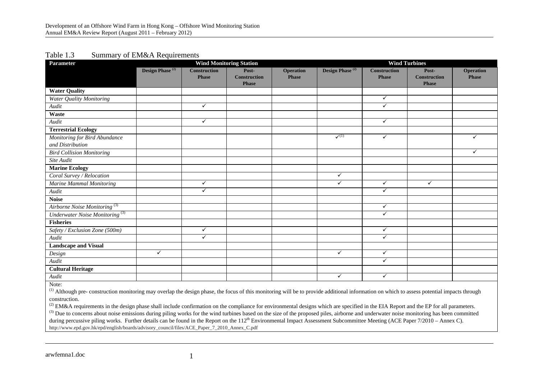#### Table 1.3 Summary of EM&A Requirements

| <b>Parameter</b>                                                                                                                                                                                       | <b>Wind Monitoring Station</b> |                     |                                     |                  |                             | <b>Wind Turbines</b> |                                     |                  |
|--------------------------------------------------------------------------------------------------------------------------------------------------------------------------------------------------------|--------------------------------|---------------------|-------------------------------------|------------------|-----------------------------|----------------------|-------------------------------------|------------------|
|                                                                                                                                                                                                        | Design Phase <sup>(2)</sup>    | <b>Construction</b> | Post-                               | <b>Operation</b> | Design Phase <sup>(2)</sup> | <b>Construction</b>  | Post-                               | <b>Operation</b> |
|                                                                                                                                                                                                        |                                | <b>Phase</b>        | <b>Construction</b><br><b>Phase</b> | <b>Phase</b>     |                             | <b>Phase</b>         | <b>Construction</b><br><b>Phase</b> | <b>Phase</b>     |
| <b>Water Quality</b>                                                                                                                                                                                   |                                |                     |                                     |                  |                             |                      |                                     |                  |
| Water Quality Monitoring                                                                                                                                                                               |                                |                     |                                     |                  |                             | $\checkmark$         |                                     |                  |
| Audit                                                                                                                                                                                                  |                                | $\checkmark$        |                                     |                  |                             | $\checkmark$         |                                     |                  |
| Waste                                                                                                                                                                                                  |                                |                     |                                     |                  |                             |                      |                                     |                  |
| Audit                                                                                                                                                                                                  |                                | $\checkmark$        |                                     |                  |                             | $\checkmark$         |                                     |                  |
| <b>Terrestrial Ecology</b>                                                                                                                                                                             |                                |                     |                                     |                  |                             |                      |                                     |                  |
| Monitoring for Bird Abundance                                                                                                                                                                          |                                |                     |                                     |                  | $\checkmark$ <sup>(1)</sup> | ✓                    |                                     | ✓                |
| and Distribution                                                                                                                                                                                       |                                |                     |                                     |                  |                             |                      |                                     |                  |
| <b>Bird Collision Monitoring</b>                                                                                                                                                                       |                                |                     |                                     |                  |                             |                      |                                     | ✓                |
| Site Audit                                                                                                                                                                                             |                                |                     |                                     |                  |                             |                      |                                     |                  |
| <b>Marine Ecology</b>                                                                                                                                                                                  |                                |                     |                                     |                  |                             |                      |                                     |                  |
| Coral Survey / Relocation                                                                                                                                                                              |                                |                     |                                     |                  | $\checkmark$                |                      |                                     |                  |
| <b>Marine Mammal Monitoring</b>                                                                                                                                                                        |                                | $\checkmark$        |                                     |                  | $\checkmark$                | ✓                    | $\checkmark$                        |                  |
| Audit                                                                                                                                                                                                  |                                | $\checkmark$        |                                     |                  |                             | $\checkmark$         |                                     |                  |
| <b>Noise</b>                                                                                                                                                                                           |                                |                     |                                     |                  |                             |                      |                                     |                  |
| Airborne Noise Monitoring <sup>(3)</sup>                                                                                                                                                               |                                |                     |                                     |                  |                             | $\checkmark$         |                                     |                  |
| Underwater Noise Monitoring <sup>(3)</sup>                                                                                                                                                             |                                |                     |                                     |                  |                             | $\checkmark$         |                                     |                  |
| <b>Fisheries</b>                                                                                                                                                                                       |                                |                     |                                     |                  |                             |                      |                                     |                  |
| Safety / Exclusion Zone (500m)                                                                                                                                                                         |                                | $\checkmark$        |                                     |                  |                             | $\checkmark$         |                                     |                  |
| Audit                                                                                                                                                                                                  |                                | ✓                   |                                     |                  |                             | $\checkmark$         |                                     |                  |
| <b>Landscape and Visual</b>                                                                                                                                                                            |                                |                     |                                     |                  |                             |                      |                                     |                  |
| Design                                                                                                                                                                                                 | $\checkmark$                   |                     |                                     |                  | $\checkmark$                | ✓                    |                                     |                  |
| Audit                                                                                                                                                                                                  |                                |                     |                                     |                  |                             | $\checkmark$         |                                     |                  |
| <b>Cultural Heritage</b>                                                                                                                                                                               |                                |                     |                                     |                  |                             |                      |                                     |                  |
| Audit                                                                                                                                                                                                  |                                |                     |                                     |                  | $\checkmark$                | $\checkmark$         |                                     |                  |
| Note:                                                                                                                                                                                                  |                                |                     |                                     |                  |                             |                      |                                     |                  |
| <sup>(1)</sup> Although pre- construction monitoring may overlap the design phase, the focus of this monitoring will be to provide additional information on which to assess potential impacts through |                                |                     |                                     |                  |                             |                      |                                     |                  |

construction.

<sup>(2)</sup> EM&A requirements in the design phase shall include confirmation on the compliance for environmental designs which are specified in the EIA Report and the EP for all parameters.

(3) Due to concerns about noise emissions during piling works for the wind turbines based on the size of the proposed piles, airborne and underwater noise monitoring has been committed during percussive piling works. Further details can be found in the Report on the  $112^{th}$  Environmental Impact Assessment Subcommittee Meeting (ACE Paper 7/2010 – Annex C). http://www.epd.gov.hk/epd/english/boards/advisory\_council/files/ACE\_Paper\_7\_2010\_Annex\_C.pdf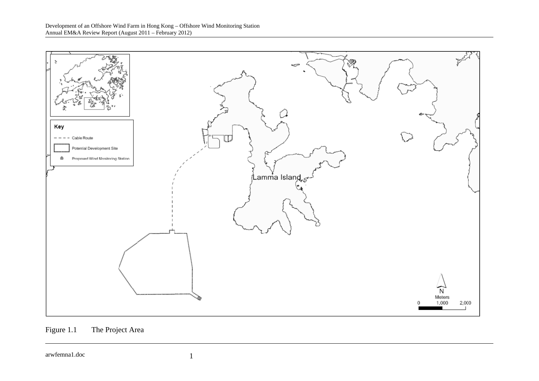



arwfemna1.doc 1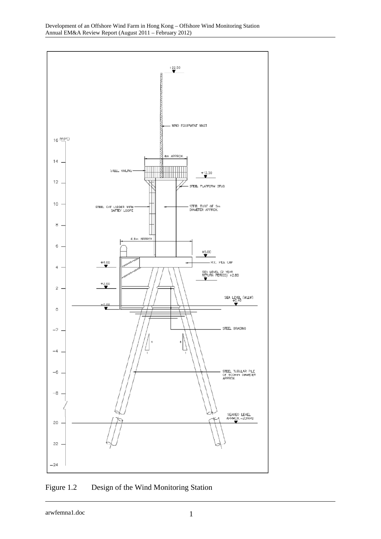

Figure 1.2 Design of the Wind Monitoring Station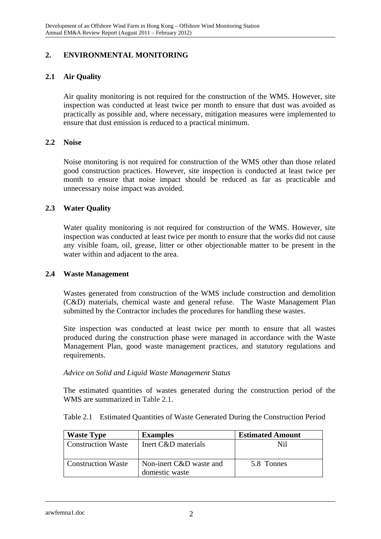## **2. ENVIRONMENTAL MONITORING**

## **2.1 Air Quality**

Air quality monitoring is not required for the construction of the WMS. However, site inspection was conducted at least twice per month to ensure that dust was avoided as practically as possible and, where necessary, mitigation measures were implemented to ensure that dust emission is reduced to a practical minimum.

#### **2.2 Noise**

Noise monitoring is not required for construction of the WMS other than those related good construction practices. However, site inspection is conducted at least twice per month to ensure that noise impact should be reduced as far as practicable and unnecessary noise impact was avoided.

#### **2.3 Water Quality**

Water quality monitoring is not required for construction of the WMS. However, site inspection was conducted at least twice per month to ensure that the works did not cause any visible foam, oil, grease, litter or other objectionable matter to be present in the water within and adjacent to the area.

## **2.4 Waste Management**

Wastes generated from construction of the WMS include construction and demolition (C&D) materials, chemical waste and general refuse. The Waste Management Plan submitted by the Contractor includes the procedures for handling these wastes.

Site inspection was conducted at least twice per month to ensure that all wastes produced during the construction phase were managed in accordance with the Waste Management Plan, good waste management practices, and statutory regulations and requirements.

#### *Advice on Solid and Liquid Waste Management Status*

The estimated quantities of wastes generated during the construction period of the WMS are summarized in Table 2.1.

Table 2.1 Estimated Quantities of Waste Generated During the Construction Period

| <b>Waste Type</b>         | <b>Examples</b>                           | <b>Estimated Amount</b> |
|---------------------------|-------------------------------------------|-------------------------|
| <b>Construction Waste</b> | Inert C&D materials                       | Nil                     |
| <b>Construction Waste</b> | Non-inert C&D waste and<br>domestic waste | 5.8 Tonnes              |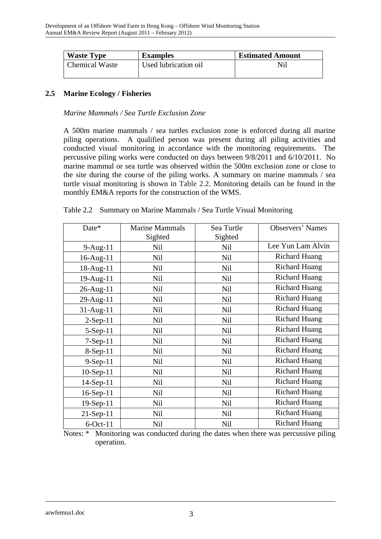| <b>Waste Type</b>     | <b>Examples</b>      | <b>Estimated Amount</b> |
|-----------------------|----------------------|-------------------------|
| <b>Chemical Waste</b> | Used lubrication oil | Nil                     |

## **2.5 Marine Ecology / Fisheries**

*Marine Mammals / Sea Turtle Exclusion Zone* 

A 500m marine mammals / sea turtles exclusion zone is enforced during all marine piling operations. A qualified person was present during all piling activities and conducted visual monitoring in accordance with the monitoring requirements. The percussive piling works were conducted on days between 9/8/2011 and 6/10/2011. No marine mammal or sea turtle was observed within the 500m exclusion zone or close to the site during the course of the piling works. A summary on marine mammals / sea turtle visual monitoring is shown in Table 2.2. Monitoring details can be found in the monthly EM&A reports for the construction of the WMS.

| Date*          | <b>Marine Mammals</b> | Sea Turtle | <b>Observers' Names</b> |
|----------------|-----------------------|------------|-------------------------|
|                | Sighted               | Sighted    |                         |
| $9-Aug-11$     | Nil                   | Nil        | Lee Yun Lam Alvin       |
| 16-Aug-11      | Nil                   | Nil        | <b>Richard Huang</b>    |
| 18-Aug-11      | Nil                   | Nil        | <b>Richard Huang</b>    |
| 19-Aug-11      | Nil                   | Nil        | <b>Richard Huang</b>    |
| $26$ -Aug-11   | Nil                   | Nil        | <b>Richard Huang</b>    |
| 29-Aug-11      | Nil                   | Nil        | <b>Richard Huang</b>    |
| $31$ -Aug-11   | Nil                   | <b>Nil</b> | <b>Richard Huang</b>    |
| $2-Sep-11$     | Nil                   | Nil        | <b>Richard Huang</b>    |
| $5-Sep-11$     | Nil                   | Nil        | <b>Richard Huang</b>    |
| 7-Sep-11       | Nil                   | Nil        | <b>Richard Huang</b>    |
| $8-Sep-11$     | Nil                   | Nil        | <b>Richard Huang</b>    |
| $9-Sep-11$     | Nil                   | Nil        | <b>Richard Huang</b>    |
| $10-Sep-11$    | Nil                   | Nil        | <b>Richard Huang</b>    |
| 14-Sep-11      | Nil                   | Nil        | <b>Richard Huang</b>    |
| $16-Sep-11$    | Nil                   | Nil        | <b>Richard Huang</b>    |
| 19-Sep-11      | Nil                   | Nil        | <b>Richard Huang</b>    |
| $21-Sep-11$    | Nil                   | Nil        | <b>Richard Huang</b>    |
| $6$ -Oct- $11$ | Nil                   | Nil        | <b>Richard Huang</b>    |

|  |  |  |  | Table 2.2 Summary on Marine Mammals / Sea Turtle Visual Monitoring |
|--|--|--|--|--------------------------------------------------------------------|
|--|--|--|--|--------------------------------------------------------------------|

Notes: \* Monitoring was conducted during the dates when there was percussive piling operation.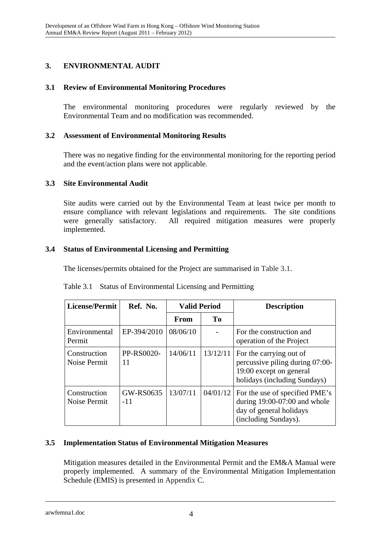# **3. ENVIRONMENTAL AUDIT**

## **3.1 Review of Environmental Monitoring Procedures**

The environmental monitoring procedures were regularly reviewed by the Environmental Team and no modification was recommended.

#### **3.2 Assessment of Environmental Monitoring Results**

There was no negative finding for the environmental monitoring for the reporting period and the event/action plans were not applicable.

## **3.3 Site Environmental Audit**

Site audits were carried out by the Environmental Team at least twice per month to ensure compliance with relevant legislations and requirements. The site conditions were generally satisfactory. All required mitigation measures were properly implemented.

## **3.4 Status of Environmental Licensing and Permitting**

The licenses/permits obtained for the Project are summarised in Table 3.1.

| License/Permit               | Ref. No.           | <b>Valid Period</b> |                | <b>Description</b>                                                                                                    |
|------------------------------|--------------------|---------------------|----------------|-----------------------------------------------------------------------------------------------------------------------|
|                              |                    | From                | T <sub>0</sub> |                                                                                                                       |
| Environmental<br>Permit      | EP-394/2010        | 08/06/10            |                | For the construction and<br>operation of the Project                                                                  |
| Construction<br>Noise Permit | PP-RS0020-<br>11   | 14/06/11            | 13/12/11       | For the carrying out of<br>percussive piling during 07:00-<br>19:00 except on general<br>holidays (including Sundays) |
| Construction<br>Noise Permit | GW-RS0635<br>$-11$ | 13/07/11            | 04/01/12       | For the use of specified PME's<br>during $19:00-07:00$ and whole<br>day of general holidays<br>(including Sundays).   |

## **3.5 Implementation Status of Environmental Mitigation Measures**

Mitigation measures detailed in the Environmental Permit and the EM&A Manual were properly implemented. A summary of the Environmental Mitigation Implementation Schedule (EMIS) is presented in Appendix C.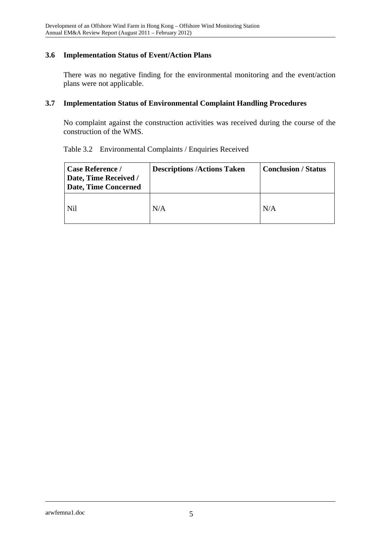## **3.6 Implementation Status of Event/Action Plans**

There was no negative finding for the environmental monitoring and the event/action plans were not applicable.

## **3.7 Implementation Status of Environmental Complaint Handling Procedures**

No complaint against the construction activities was received during the course of the construction of the WMS.

| Table 3.2 Environmental Complaints / Enquiries Received |  |  |
|---------------------------------------------------------|--|--|
|                                                         |  |  |

| Case Reference /<br>Date, Time Received /<br><b>Date, Time Concerned</b> | <b>Descriptions /Actions Taken</b> | <b>Conclusion / Status</b> |
|--------------------------------------------------------------------------|------------------------------------|----------------------------|
| Nil                                                                      | N/A                                | N/A                        |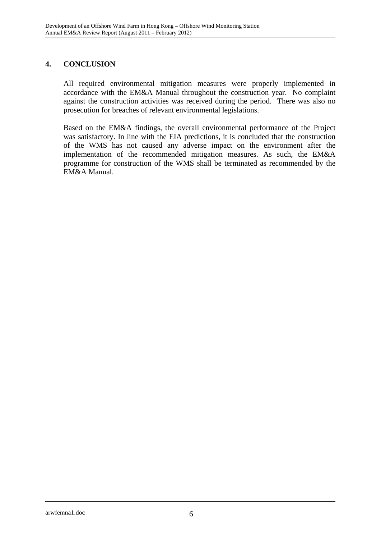## **4. CONCLUSION**

All required environmental mitigation measures were properly implemented in accordance with the EM&A Manual throughout the construction year. No complaint against the construction activities was received during the period. There was also no prosecution for breaches of relevant environmental legislations.

Based on the EM&A findings, the overall environmental performance of the Project was satisfactory. In line with the EIA predictions, it is concluded that the construction of the WMS has not caused any adverse impact on the environment after the implementation of the recommended mitigation measures. As such, the EM&A programme for construction of the WMS shall be terminated as recommended by the EM&A Manual.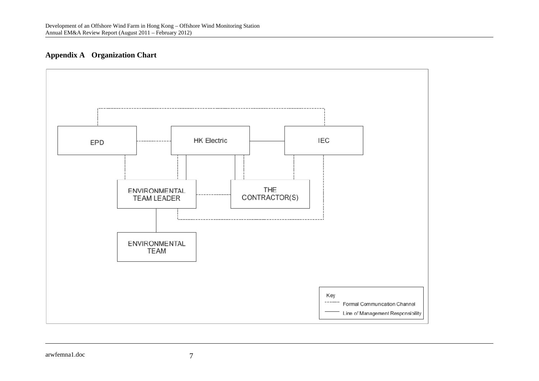## **Appendix A Organization Chart**

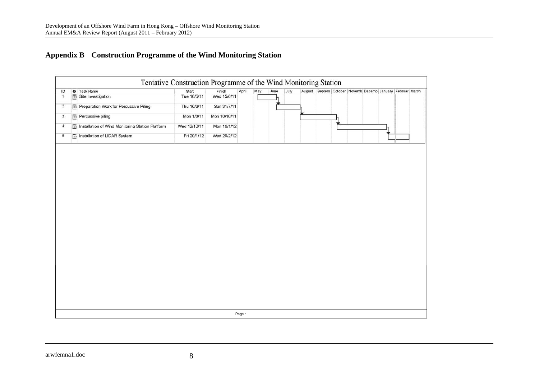# **Appendix B Construction Programme of the Wind Monitoring Station**

| Tentative Construction Programme of the Wind Monitoring Station |                                   |                                                  |  |              |              |        |     |      |      |  |                                                           |  |  |
|-----------------------------------------------------------------|-----------------------------------|--------------------------------------------------|--|--------------|--------------|--------|-----|------|------|--|-----------------------------------------------------------|--|--|
| ID                                                              | O Task Name                       |                                                  |  | Start        | Finish       | April  | May | June | July |  | August Septem October Novemb Decemb January Februar March |  |  |
| $\overline{1}$                                                  | $\overline{m}$ Site Investigation |                                                  |  | Tue 10/5/11  | Wed 15/6/11  |        |     |      |      |  |                                                           |  |  |
| $\overline{2}$                                                  |                                   | Preparation Work for Percussive Piling           |  | Thu 16/6/11  | Sun 31/7/11  |        |     |      |      |  |                                                           |  |  |
| $\mathbf{3}$                                                    | Percussive piling                 |                                                  |  | Mon 1/8/11   | Mon 10/10/11 |        |     |      |      |  |                                                           |  |  |
| $\overline{4}$                                                  |                                   | Installation of Wind Monitoring Station Platform |  | Wed 12/10/11 | Mon 16/1/12  |        |     |      |      |  |                                                           |  |  |
| 5                                                               | Installation of LIDAR System      |                                                  |  | Fri 20/1/12  | Wed 29/2/12  |        |     |      |      |  |                                                           |  |  |
|                                                                 |                                   |                                                  |  |              |              | Page 1 |     |      |      |  |                                                           |  |  |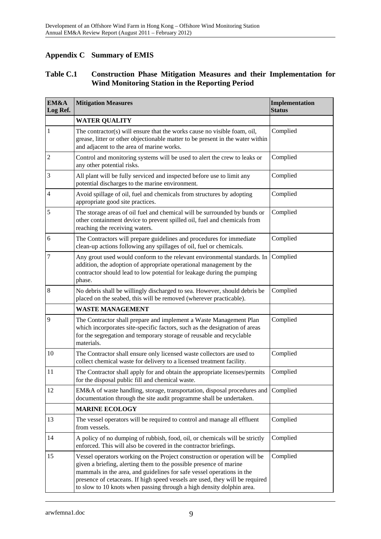## **Appendix C Summary of EMIS**

## **Table C.1 Construction Phase Mitigation Measures and their Implementation for Wind Monitoring Station in the Reporting Period**

| EM&A<br>Log Ref. | <b>Mitigation Measures</b>                                                                                                                                                                                                                                                                                                                                                        | Implementation<br><b>Status</b> |
|------------------|-----------------------------------------------------------------------------------------------------------------------------------------------------------------------------------------------------------------------------------------------------------------------------------------------------------------------------------------------------------------------------------|---------------------------------|
|                  | <b>WATER QUALITY</b>                                                                                                                                                                                                                                                                                                                                                              |                                 |
| $\mathbf{1}$     | The contractor(s) will ensure that the works cause no visible foam, oil,<br>grease, litter or other objectionable matter to be present in the water within<br>and adjacent to the area of marine works.                                                                                                                                                                           | Complied                        |
| $\overline{c}$   | Control and monitoring systems will be used to alert the crew to leaks or<br>any other potential risks.                                                                                                                                                                                                                                                                           | Complied                        |
| 3                | All plant will be fully serviced and inspected before use to limit any<br>potential discharges to the marine environment.                                                                                                                                                                                                                                                         | Complied                        |
| $\overline{4}$   | Avoid spillage of oil, fuel and chemicals from structures by adopting<br>appropriate good site practices.                                                                                                                                                                                                                                                                         | Complied                        |
| 5                | The storage areas of oil fuel and chemical will be surrounded by bunds or<br>other containment device to prevent spilled oil, fuel and chemicals from<br>reaching the receiving waters.                                                                                                                                                                                           | Complied                        |
| 6                | The Contractors will prepare guidelines and procedures for immediate<br>clean-up actions following any spillages of oil, fuel or chemicals.                                                                                                                                                                                                                                       | Complied                        |
| $\tau$           | Any grout used would conform to the relevant environmental standards. In<br>addition, the adoption of appropriate operational management by the<br>contractor should lead to low potential for leakage during the pumping<br>phase.                                                                                                                                               | Complied                        |
| 8                | No debris shall be willingly discharged to sea. However, should debris be<br>placed on the seabed, this will be removed (wherever practicable).                                                                                                                                                                                                                                   | Complied                        |
|                  | <b>WASTE MANAGEMENT</b>                                                                                                                                                                                                                                                                                                                                                           |                                 |
| 9                | The Contractor shall prepare and implement a Waste Management Plan<br>which incorporates site-specific factors, such as the designation of areas<br>for the segregation and temporary storage of reusable and recyclable<br>materials.                                                                                                                                            | Complied                        |
| 10               | The Contractor shall ensure only licensed waste collectors are used to<br>collect chemical waste for delivery to a licensed treatment facility.                                                                                                                                                                                                                                   | Complied                        |
| 11               | The Contractor shall apply for and obtain the appropriate licenses/permits<br>for the disposal public fill and chemical waste.                                                                                                                                                                                                                                                    | Complied                        |
| 12               | EM&A of waste handling, storage, transportation, disposal procedures and Complied<br>documentation through the site audit programme shall be undertaken.                                                                                                                                                                                                                          |                                 |
|                  | <b>MARINE ECOLOGY</b>                                                                                                                                                                                                                                                                                                                                                             |                                 |
| 13               | The vessel operators will be required to control and manage all effluent<br>from vessels.                                                                                                                                                                                                                                                                                         | Complied                        |
| 14               | A policy of no dumping of rubbish, food, oil, or chemicals will be strictly<br>enforced. This will also be covered in the contractor briefings.                                                                                                                                                                                                                                   | Complied                        |
| 15               | Vessel operators working on the Project construction or operation will be<br>given a briefing, alerting them to the possible presence of marine<br>mammals in the area, and guidelines for safe vessel operations in the<br>presence of cetaceans. If high speed vessels are used, they will be required<br>to slow to 10 knots when passing through a high density dolphin area. | Complied                        |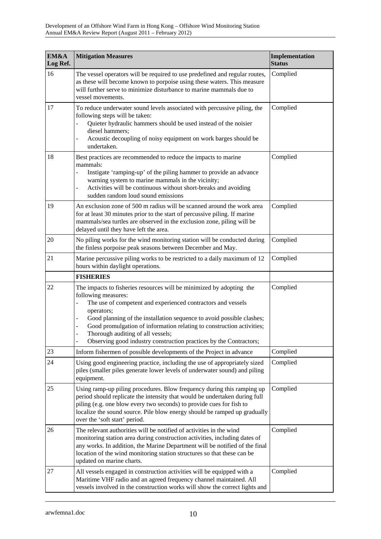| EM&A<br>Log Ref. | <b>Mitigation Measures</b>                                                                                                                                                                                                                                                                                                                                                                                                                  | Implementation<br><b>Status</b> |
|------------------|---------------------------------------------------------------------------------------------------------------------------------------------------------------------------------------------------------------------------------------------------------------------------------------------------------------------------------------------------------------------------------------------------------------------------------------------|---------------------------------|
| 16               | The vessel operators will be required to use predefined and regular routes,<br>as these will become known to porpoise using these waters. This measure<br>will further serve to minimize disturbance to marine mammals due to<br>vessel movements.                                                                                                                                                                                          | Complied                        |
| 17               | To reduce underwater sound levels associated with percussive piling, the<br>following steps will be taken:<br>Quieter hydraulic hammers should be used instead of the noisier<br>$\frac{1}{2}$<br>diesel hammers;<br>Acoustic decoupling of noisy equipment on work barges should be<br>undertaken.                                                                                                                                         | Complied                        |
| 18               | Best practices are recommended to reduce the impacts to marine<br>mammals:<br>Instigate 'ramping-up' of the piling hammer to provide an advance<br>$\overline{\phantom{0}}$<br>warning system to marine mammals in the vicinity;<br>Activities will be continuous without short-breaks and avoiding<br>$\frac{1}{2}$<br>sudden random loud sound emissions                                                                                  | Complied                        |
| 19               | An exclusion zone of 500 m radius will be scanned around the work area<br>for at least 30 minutes prior to the start of percussive piling. If marine<br>mammals/sea turtles are observed in the exclusion zone, piling will be<br>delayed until they have left the area.                                                                                                                                                                    | Complied                        |
| 20               | No piling works for the wind monitoring station will be conducted during<br>the finless porpoise peak seasons between December and May.                                                                                                                                                                                                                                                                                                     | Complied                        |
| 21               | Marine percussive piling works to be restricted to a daily maximum of 12<br>hours within daylight operations.                                                                                                                                                                                                                                                                                                                               | Complied                        |
|                  | <b>FISHERIES</b>                                                                                                                                                                                                                                                                                                                                                                                                                            |                                 |
| 22               | The impacts to fisheries resources will be minimized by adopting the<br>following measures:<br>The use of competent and experienced contractors and vessels<br>operators;<br>Good planning of the installation sequence to avoid possible clashes;<br>÷<br>Good promulgation of information relating to construction activities;<br>Thorough auditing of all vessels;<br>Observing good industry construction practices by the Contractors; | Complied                        |
| 23               | Inform fishermen of possible developments of the Project in advance                                                                                                                                                                                                                                                                                                                                                                         | Complied                        |
| 24               | Using good engineering practice, including the use of appropriately sized<br>piles (smaller piles generate lower levels of underwater sound) and piling<br>equipment.                                                                                                                                                                                                                                                                       | Complied                        |
| 25               | Using ramp-up piling procedures. Blow frequency during this ramping up<br>period should replicate the intensity that would be undertaken during full<br>piling (e.g. one blow every two seconds) to provide cues for fish to<br>localize the sound source. Pile blow energy should be ramped up gradually<br>over the 'soft start' period.                                                                                                  | Complied                        |
| 26               | The relevant authorities will be notified of activities in the wind<br>monitoring station area during construction activities, including dates of<br>any works. In addition, the Marine Department will be notified of the final<br>location of the wind monitoring station structures so that these can be<br>updated on marine charts.                                                                                                    | Complied                        |
| 27               | All vessels engaged in construction activities will be equipped with a<br>Maritime VHF radio and an agreed frequency channel maintained. All<br>vessels involved in the construction works will show the correct lights and                                                                                                                                                                                                                 | Complied                        |